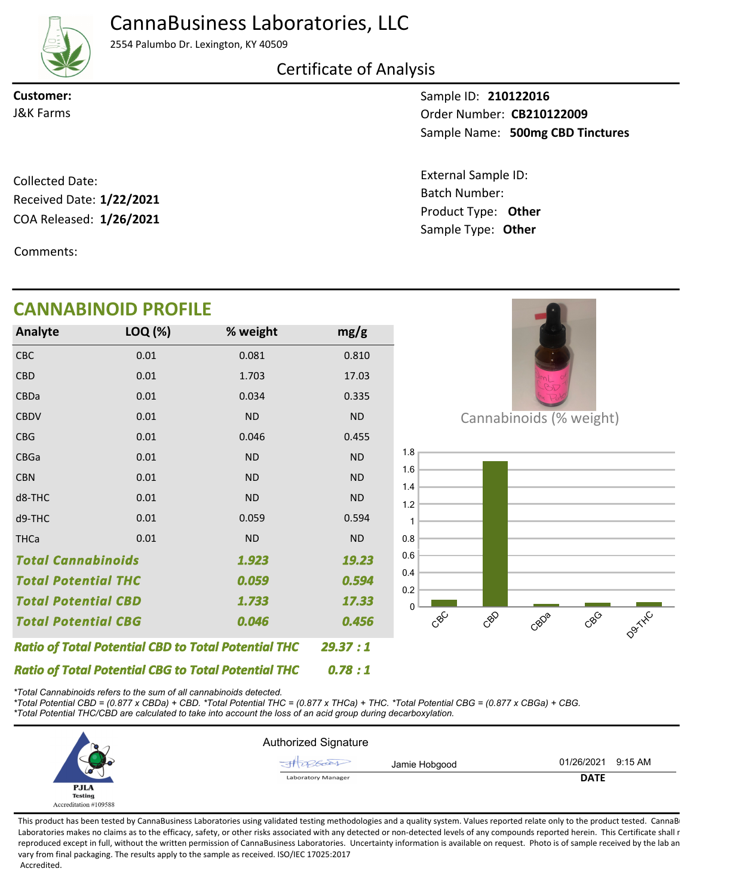CannaBusiness Laboratories, LLC



2554 Palumbo Dr. Lexington, KY 40509

## Certificate of Analysis

**Customer:**

Sample ID: **210122016** Sample Name: 500mg CBD Tinctures **CB210122009** J&K Farms Order Number:

> Product Type: **Other 1/26/2021** Batch Number: External Sample ID: Sample Type: **Other**

COA Released: 1/26/2021 Collected Date: Received Date: **1/22/2021**

Comments:

#### Cannabinoids (% weight)  $\mathcal{S}^{\mathcal{C}}$ CBD CBDa CBG D9TXXC  $\Omega$ 0.2 0.4 0.6 0.8 1 1.2 1.4 1.6 1.8 CBC 0.01 0.081 0.810 *0.046 0.78 : 1 29.37 : 1 1.923 Total Potential CBD 0.594 Total Potential CBG 1.733 Total Cannabinoids Ratio of Total Potential CBD to Total Potential THC 0.456 Ratio of Total Potential CBG to Total Potential THC 19.23 0.059 17.33 Total Potential THC* CBD CBDa **CBDV** CBG CBGa CBN d8-THC d9-THC **THCa** 0.01 0.01 0.01 0.01 0.01 0.01 0.01 0.01 0.01 1.703 0.034 ND 0.046 ND ND ND 0.059 ND 17.03 0.335 ND 0.455 ND ND ND 0.594 ND **Analyte LOQ (%) mg/g % weight CANNABINOID PROFILE**

*\*Total Cannabinoids refers to the sum of all cannabinoids detected.*

*\*Total Potential CBD = (0.877 x CBDa) + CBD. \*Total Potential THC = (0.877 x THCa) + THC. \*Total Potential CBG = (0.877 x CBGa) + CBG. \*Total Potential THC/CBD are calculated to take into account the loss of an acid group during decarboxylation.*



This product has been tested by CannaBusiness Laboratories using validated testing methodologies and a quality system. Values reported relate only to the product tested. CannaB Laboratories makes no claims as to the efficacy, safety, or other risks associated with any detected or non-detected levels of any compounds reported herein. This Certificate shall r reproduced except in full, without the written permission of CannaBusiness Laboratories. Uncertainty information is available on request. Photo is of sample received by the lab an vary from final packaging. The results apply to the sample as received. ISO/IEC 17025:2017 Accredited.